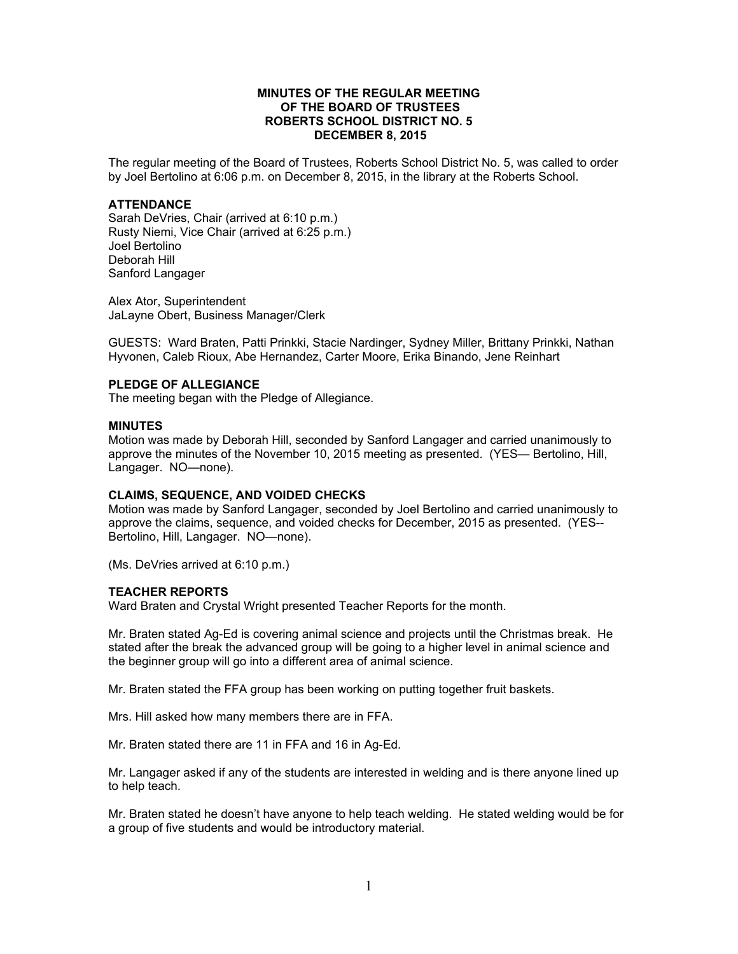## **MINUTES OF THE REGULAR MEETING OF THE BOARD OF TRUSTEES ROBERTS SCHOOL DISTRICT NO. 5 DECEMBER 8, 2015**

The regular meeting of the Board of Trustees, Roberts School District No. 5, was called to order by Joel Bertolino at 6:06 p.m. on December 8, 2015, in the library at the Roberts School.

## **ATTENDANCE**

Sarah DeVries, Chair (arrived at 6:10 p.m.) Rusty Niemi, Vice Chair (arrived at 6:25 p.m.) Joel Bertolino Deborah Hill Sanford Langager

Alex Ator, Superintendent JaLayne Obert, Business Manager/Clerk

GUESTS: Ward Braten, Patti Prinkki, Stacie Nardinger, Sydney Miller, Brittany Prinkki, Nathan Hyvonen, Caleb Rioux, Abe Hernandez, Carter Moore, Erika Binando, Jene Reinhart

## **PLEDGE OF ALLEGIANCE**

The meeting began with the Pledge of Allegiance.

#### **MINUTES**

Motion was made by Deborah Hill, seconded by Sanford Langager and carried unanimously to approve the minutes of the November 10, 2015 meeting as presented. (YES— Bertolino, Hill, Langager. NO—none).

#### **CLAIMS, SEQUENCE, AND VOIDED CHECKS**

Motion was made by Sanford Langager, seconded by Joel Bertolino and carried unanimously to approve the claims, sequence, and voided checks for December, 2015 as presented. (YES-- Bertolino, Hill, Langager. NO—none).

(Ms. DeVries arrived at 6:10 p.m.)

#### **TEACHER REPORTS**

Ward Braten and Crystal Wright presented Teacher Reports for the month.

Mr. Braten stated Ag-Ed is covering animal science and projects until the Christmas break. He stated after the break the advanced group will be going to a higher level in animal science and the beginner group will go into a different area of animal science.

Mr. Braten stated the FFA group has been working on putting together fruit baskets.

Mrs. Hill asked how many members there are in FFA.

Mr. Braten stated there are 11 in FFA and 16 in Ag-Ed.

Mr. Langager asked if any of the students are interested in welding and is there anyone lined up to help teach.

Mr. Braten stated he doesn't have anyone to help teach welding. He stated welding would be for a group of five students and would be introductory material.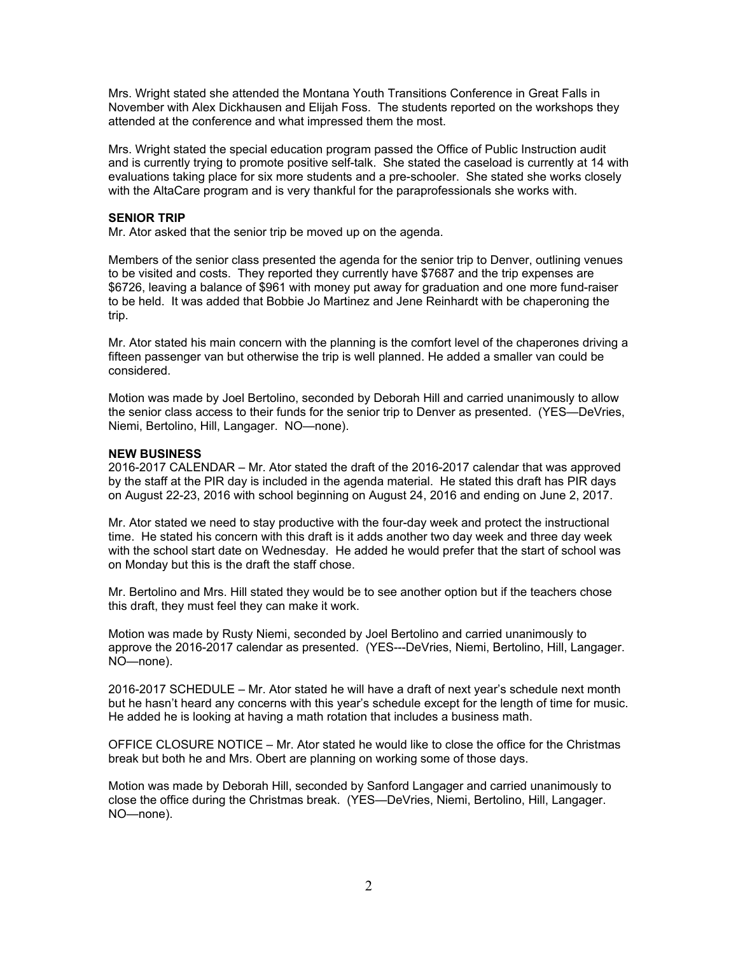Mrs. Wright stated she attended the Montana Youth Transitions Conference in Great Falls in November with Alex Dickhausen and Elijah Foss. The students reported on the workshops they attended at the conference and what impressed them the most.

Mrs. Wright stated the special education program passed the Office of Public Instruction audit and is currently trying to promote positive self-talk. She stated the caseload is currently at 14 with evaluations taking place for six more students and a pre-schooler. She stated she works closely with the AltaCare program and is very thankful for the paraprofessionals she works with.

# **SENIOR TRIP**

Mr. Ator asked that the senior trip be moved up on the agenda.

Members of the senior class presented the agenda for the senior trip to Denver, outlining venues to be visited and costs. They reported they currently have \$7687 and the trip expenses are \$6726, leaving a balance of \$961 with money put away for graduation and one more fund-raiser to be held. It was added that Bobbie Jo Martinez and Jene Reinhardt with be chaperoning the trip.

Mr. Ator stated his main concern with the planning is the comfort level of the chaperones driving a fifteen passenger van but otherwise the trip is well planned. He added a smaller van could be considered.

Motion was made by Joel Bertolino, seconded by Deborah Hill and carried unanimously to allow the senior class access to their funds for the senior trip to Denver as presented. (YES—DeVries, Niemi, Bertolino, Hill, Langager. NO—none).

## **NEW BUSINESS**

2016-2017 CALENDAR – Mr. Ator stated the draft of the 2016-2017 calendar that was approved by the staff at the PIR day is included in the agenda material. He stated this draft has PIR days on August 22-23, 2016 with school beginning on August 24, 2016 and ending on June 2, 2017.

Mr. Ator stated we need to stay productive with the four-day week and protect the instructional time. He stated his concern with this draft is it adds another two day week and three day week with the school start date on Wednesday. He added he would prefer that the start of school was on Monday but this is the draft the staff chose.

Mr. Bertolino and Mrs. Hill stated they would be to see another option but if the teachers chose this draft, they must feel they can make it work.

Motion was made by Rusty Niemi, seconded by Joel Bertolino and carried unanimously to approve the 2016-2017 calendar as presented. (YES---DeVries, Niemi, Bertolino, Hill, Langager. NO—none).

2016-2017 SCHEDULE – Mr. Ator stated he will have a draft of next year's schedule next month but he hasn't heard any concerns with this year's schedule except for the length of time for music. He added he is looking at having a math rotation that includes a business math.

OFFICE CLOSURE NOTICE – Mr. Ator stated he would like to close the office for the Christmas break but both he and Mrs. Obert are planning on working some of those days.

Motion was made by Deborah Hill, seconded by Sanford Langager and carried unanimously to close the office during the Christmas break. (YES—DeVries, Niemi, Bertolino, Hill, Langager. NO—none).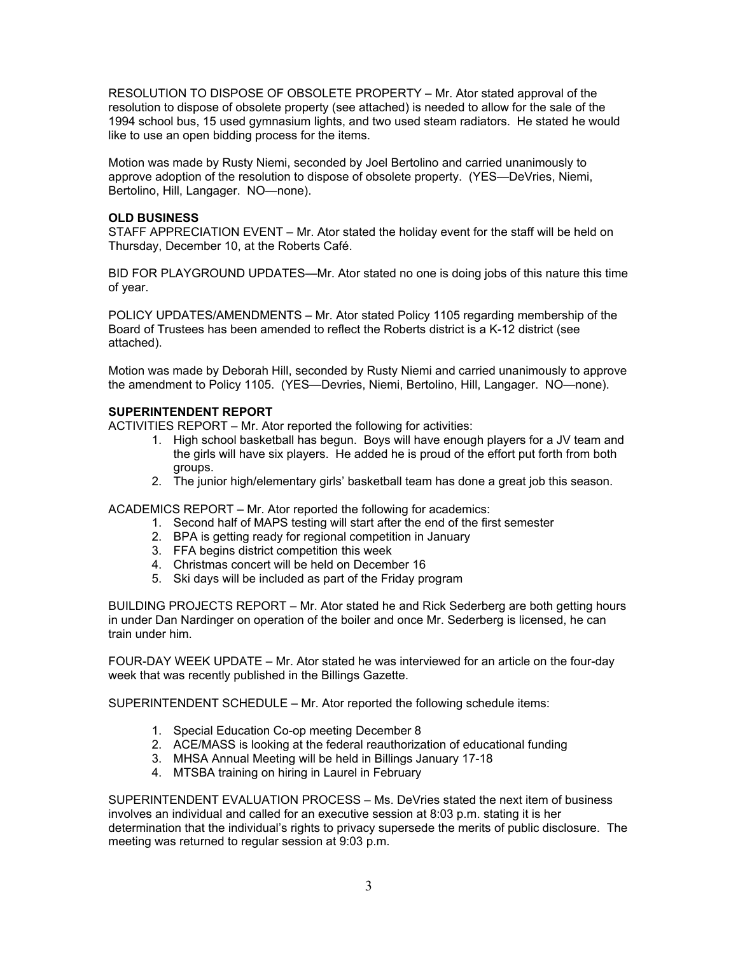RESOLUTION TO DISPOSE OF OBSOLETE PROPERTY – Mr. Ator stated approval of the resolution to dispose of obsolete property (see attached) is needed to allow for the sale of the 1994 school bus, 15 used gymnasium lights, and two used steam radiators. He stated he would like to use an open bidding process for the items.

Motion was made by Rusty Niemi, seconded by Joel Bertolino and carried unanimously to approve adoption of the resolution to dispose of obsolete property. (YES—DeVries, Niemi, Bertolino, Hill, Langager. NO—none).

## **OLD BUSINESS**

STAFF APPRECIATION EVENT – Mr. Ator stated the holiday event for the staff will be held on Thursday, December 10, at the Roberts Café.

BID FOR PLAYGROUND UPDATES—Mr. Ator stated no one is doing jobs of this nature this time of year.

POLICY UPDATES/AMENDMENTS – Mr. Ator stated Policy 1105 regarding membership of the Board of Trustees has been amended to reflect the Roberts district is a K-12 district (see attached).

Motion was made by Deborah Hill, seconded by Rusty Niemi and carried unanimously to approve the amendment to Policy 1105. (YES—Devries, Niemi, Bertolino, Hill, Langager. NO—none).

# **SUPERINTENDENT REPORT**

ACTIVITIES REPORT – Mr. Ator reported the following for activities:

- 1. High school basketball has begun. Boys will have enough players for a JV team and the girls will have six players. He added he is proud of the effort put forth from both groups.
- 2. The junior high/elementary girls' basketball team has done a great job this season.

ACADEMICS REPORT – Mr. Ator reported the following for academics:

- 1. Second half of MAPS testing will start after the end of the first semester
- 2. BPA is getting ready for regional competition in January
- 3. FFA begins district competition this week
- 4. Christmas concert will be held on December 16
- 5. Ski days will be included as part of the Friday program

BUILDING PROJECTS REPORT – Mr. Ator stated he and Rick Sederberg are both getting hours in under Dan Nardinger on operation of the boiler and once Mr. Sederberg is licensed, he can train under him.

FOUR-DAY WEEK UPDATE – Mr. Ator stated he was interviewed for an article on the four-day week that was recently published in the Billings Gazette.

SUPERINTENDENT SCHEDULE – Mr. Ator reported the following schedule items:

- 1. Special Education Co-op meeting December 8
- 2. ACE/MASS is looking at the federal reauthorization of educational funding
- 3. MHSA Annual Meeting will be held in Billings January 17-18
- 4. MTSBA training on hiring in Laurel in February

SUPERINTENDENT EVALUATION PROCESS – Ms. DeVries stated the next item of business involves an individual and called for an executive session at 8:03 p.m. stating it is her determination that the individual's rights to privacy supersede the merits of public disclosure. The meeting was returned to regular session at 9:03 p.m.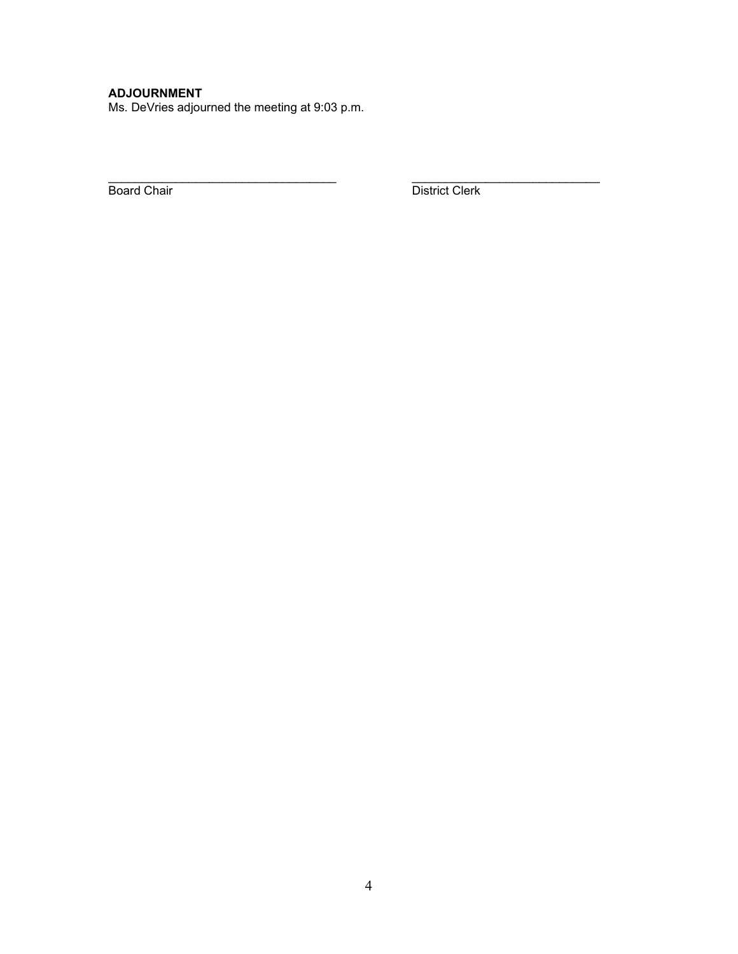# **ADJOURNMENT**

Ms. DeVries adjourned the meeting at 9:03 p.m.

Board Chair **District Clerk** 

 $\mathcal{L}_\text{max}$  , and the set of the set of the set of the set of the set of the set of the set of the set of the set of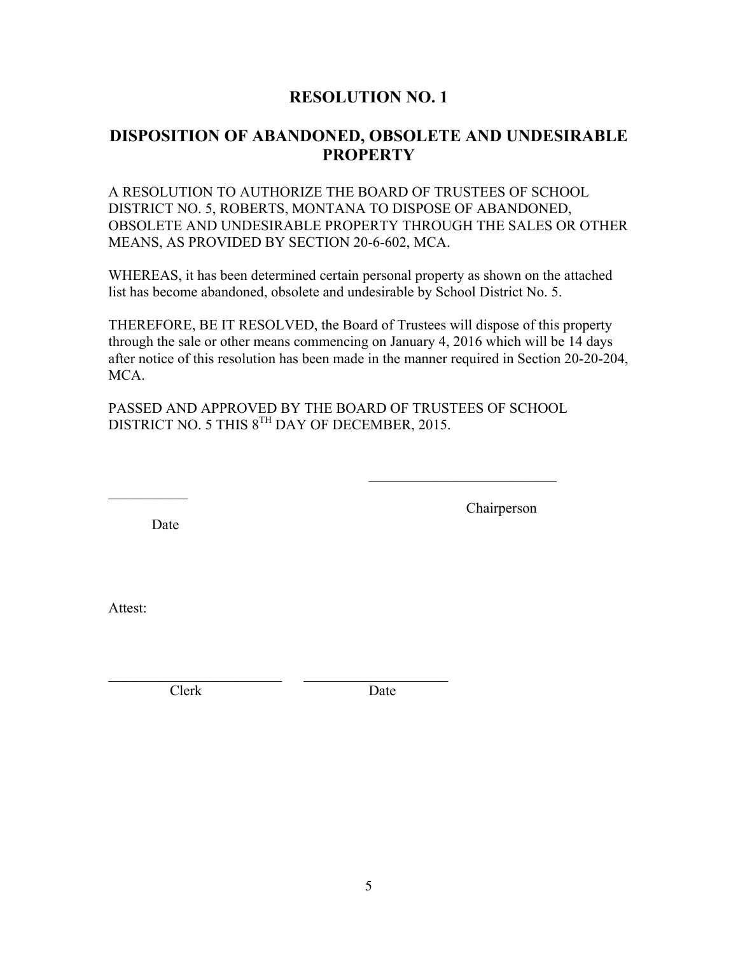# **RESOLUTION NO. 1**

# **DISPOSITION OF ABANDONED, OBSOLETE AND UNDESIRABLE PROPERTY**

A RESOLUTION TO AUTHORIZE THE BOARD OF TRUSTEES OF SCHOOL DISTRICT NO. 5, ROBERTS, MONTANA TO DISPOSE OF ABANDONED, OBSOLETE AND UNDESIRABLE PROPERTY THROUGH THE SALES OR OTHER MEANS, AS PROVIDED BY SECTION 20-6-602, MCA.

WHEREAS, it has been determined certain personal property as shown on the attached list has become abandoned, obsolete and undesirable by School District No. 5.

THEREFORE, BE IT RESOLVED, the Board of Trustees will dispose of this property through the sale or other means commencing on January 4, 2016 which will be 14 days after notice of this resolution has been made in the manner required in Section 20-20-204, MCA.

PASSED AND APPROVED BY THE BOARD OF TRUSTEES OF SCHOOL DISTRICT NO. 5 THIS 8<sup>TH</sup> DAY OF DECEMBER, 2015.

Date

Chairperson

Attest:

Clerk Date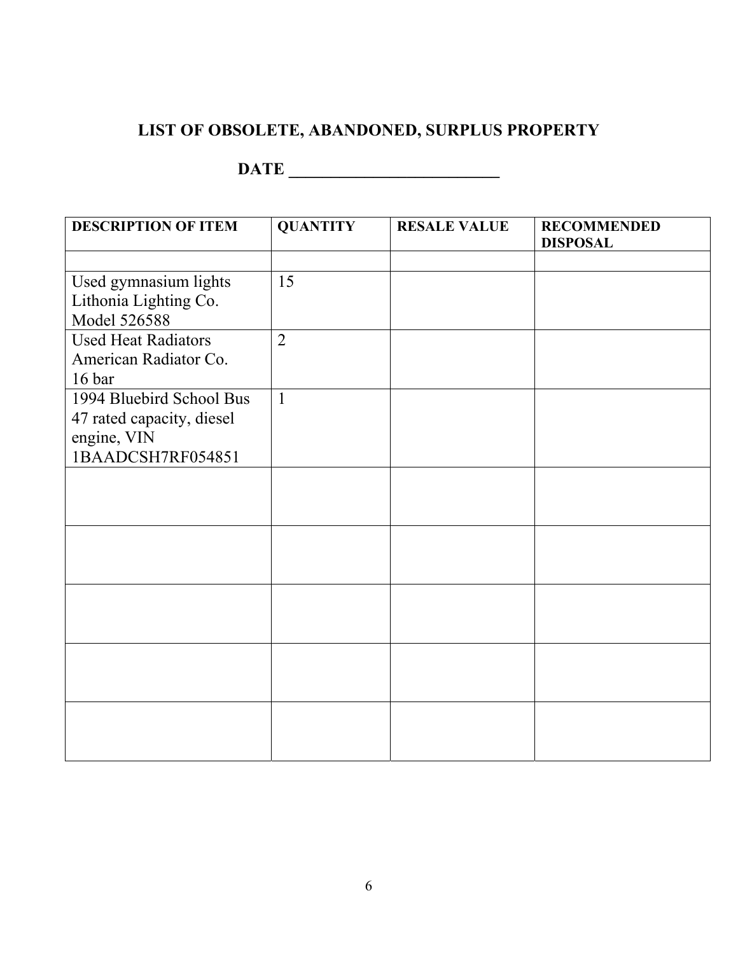# **LIST OF OBSOLETE, ABANDONED, SURPLUS PROPERTY**

# **DATE \_\_\_\_\_\_\_\_\_\_\_\_\_\_\_\_\_\_\_\_\_\_\_\_\_**

| <b>DESCRIPTION OF ITEM</b> | <b>QUANTITY</b> | <b>RESALE VALUE</b> | <b>RECOMMENDED</b><br><b>DISPOSAL</b> |
|----------------------------|-----------------|---------------------|---------------------------------------|
|                            |                 |                     |                                       |
| Used gymnasium lights      | 15              |                     |                                       |
| Lithonia Lighting Co.      |                 |                     |                                       |
| Model 526588               |                 |                     |                                       |
| <b>Used Heat Radiators</b> | $\overline{2}$  |                     |                                       |
| American Radiator Co.      |                 |                     |                                       |
| 16 bar                     |                 |                     |                                       |
| 1994 Bluebird School Bus   | $\mathbf{1}$    |                     |                                       |
| 47 rated capacity, diesel  |                 |                     |                                       |
| engine, VIN                |                 |                     |                                       |
| 1BAADCSH7RF054851          |                 |                     |                                       |
|                            |                 |                     |                                       |
|                            |                 |                     |                                       |
|                            |                 |                     |                                       |
|                            |                 |                     |                                       |
|                            |                 |                     |                                       |
|                            |                 |                     |                                       |
|                            |                 |                     |                                       |
|                            |                 |                     |                                       |
|                            |                 |                     |                                       |
|                            |                 |                     |                                       |
|                            |                 |                     |                                       |
|                            |                 |                     |                                       |
|                            |                 |                     |                                       |
|                            |                 |                     |                                       |
|                            |                 |                     |                                       |